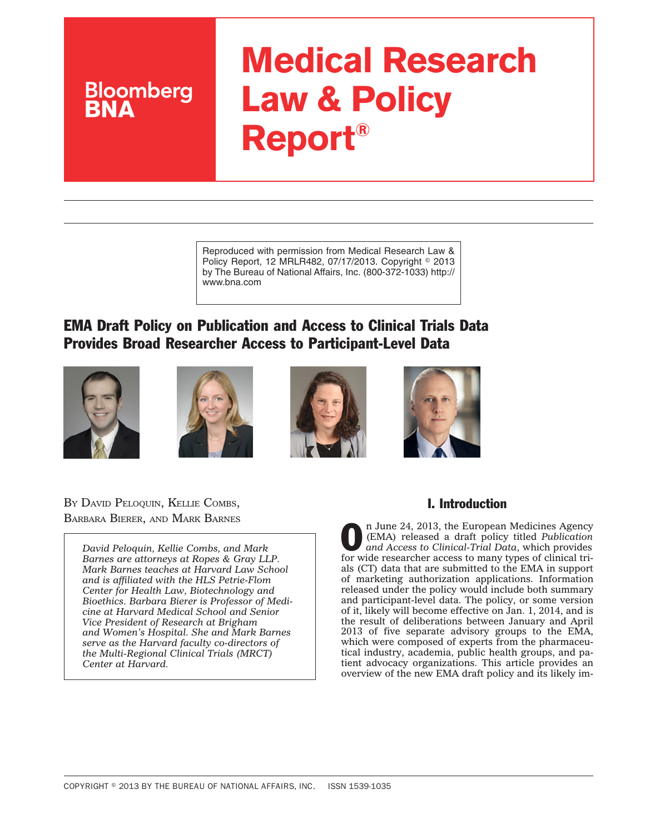# **Medical Research Law & Policy Report®**

Reproduced with permission from Medical Research Law & Policy Report, 12 MRLR482, 07/17/2013. Copyright © 2013 by The Bureau of National Affairs, Inc. (800-372-1033) http:// www.bna.com

# EMA Draft Policy on Publication and Access to Clinical Trials Data Provides Broad Researcher Access to Participant-Level Data









BY DAVID PELOQUIN, KELLIE COMBS, BARBARA BIERER, AND MARK BARNES

**Bloomberg** 

*David Peloquin, Kellie Combs, and Mark Barnes are attorneys at Ropes & Gray LLP. Mark Barnes teaches at Harvard Law School and is affiliated with the HLS Petrie-Flom Center for Health Law, Biotechnology and Bioethics. Barbara Bierer is Professor of Medicine at Harvard Medical School and Senior Vice President of Research at Brigham and Women's Hospital. She and Mark Barnes serve as the Harvard faculty co-directors of the Multi-Regional Clinical Trials (MRCT) Center at Harvard.*

## I. Introduction

**O n** June 24, 2013, the European Medicines Agency<br>(EMA) released a draft policy titled Publication<br>and Access to Clinical-Trial Data, which provides (EMA) released a draft policy titled *Publication and Access to Clinical-Trial Data*, which provides for wide researcher access to many types of clinical trials (CT) data that are submitted to the EMA in support of marketing authorization applications. Information released under the policy would include both summary and participant-level data. The policy, or some version of it, likely will become effective on Jan. 1, 2014, and is the result of deliberations between January and April 2013 of five separate advisory groups to the EMA, which were composed of experts from the pharmaceutical industry, academia, public health groups, and patient advocacy organizations. This article provides an overview of the new EMA draft policy and its likely im-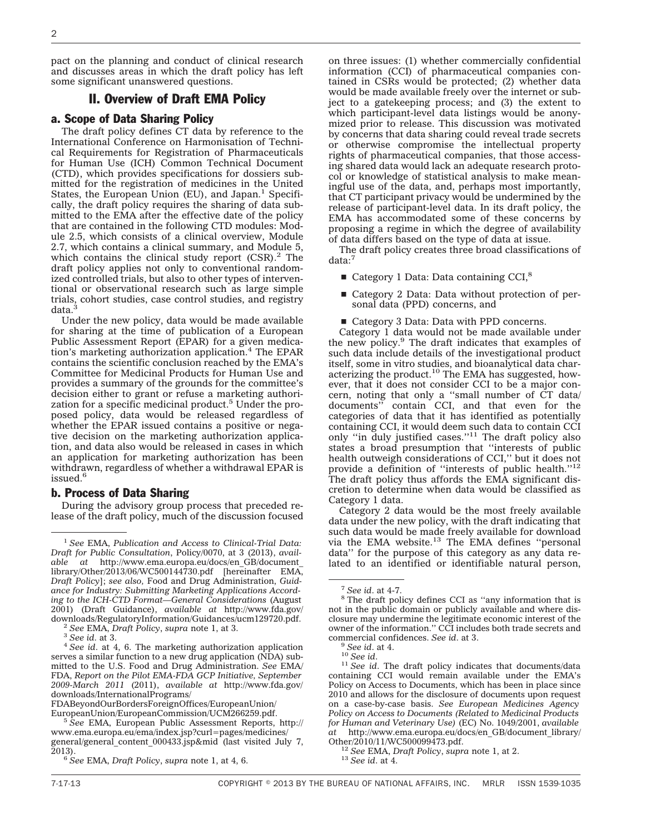pact on the planning and conduct of clinical research and discusses areas in which the draft policy has left some significant unanswered questions.

#### II. Overview of Draft EMA Policy

#### a. Scope of Data Sharing Policy

The draft policy defines CT data by reference to the International Conference on Harmonisation of Technical Requirements for Registration of Pharmaceuticals for Human Use (ICH) Common Technical Document (CTD), which provides specifications for dossiers submitted for the registration of medicines in the United States, the European Union (EU), and Japan.<sup>1</sup> Specifically, the draft policy requires the sharing of data submitted to the EMA after the effective date of the policy that are contained in the following CTD modules: Module 2.5, which consists of a clinical overview, Module 2.7, which contains a clinical summary, and Module 5, which contains the clinical study report  $(CSR)<sup>2</sup>$ . The draft policy applies not only to conventional randomized controlled trials, but also to other types of interventional or observational research such as large simple trials, cohort studies, case control studies, and registry data.<sup>3</sup>

Under the new policy, data would be made available for sharing at the time of publication of a European Public Assessment Report (EPAR) for a given medication's marketing authorization application.4 The EPAR contains the scientific conclusion reached by the EMA's Committee for Medicinal Products for Human Use and provides a summary of the grounds for the committee's decision either to grant or refuse a marketing authorization for a specific medicinal product.<sup>5</sup> Under the proposed policy, data would be released regardless of whether the EPAR issued contains a positive or negative decision on the marketing authorization application, and data also would be released in cases in which an application for marketing authorization has been withdrawn, regardless of whether a withdrawal EPAR is issued.6

#### b. Process of Data Sharing

During the advisory group process that preceded release of the draft policy, much of the discussion focused

[FDABeyondOurBordersForeignOffices/EuropeanUnion/](http://www.fda.gov/downloads/InternationalPrograms/FDABeyondOurBordersForeignOffices/EuropeanUnion/EuropeanUnion/EuropeanCommission/UCM266259.pdf)

on three issues: (1) whether commercially confidential information (CCI) of pharmaceutical companies contained in CSRs would be protected; (2) whether data would be made available freely over the internet or subject to a gatekeeping process; and (3) the extent to which participant-level data listings would be anonymized prior to release. This discussion was motivated by concerns that data sharing could reveal trade secrets or otherwise compromise the intellectual property rights of pharmaceutical companies, that those accessing shared data would lack an adequate research protocol or knowledge of statistical analysis to make meaningful use of the data, and, perhaps most importantly, that CT participant privacy would be undermined by the release of participant-level data. In its draft policy, the EMA has accommodated some of these concerns by proposing a regime in which the degree of availability of data differs based on the type of data at issue.

The draft policy creates three broad classifications of data:<sup>7</sup>

- Category 1 Data: Data containing CCI,<sup>8</sup>
- $\blacksquare$  Category 2 Data: Data without protection of personal data (PPD) concerns, and
- $\blacksquare$  Category 3 Data: Data with PPD concerns.

Category 1 data would not be made available under the new policy.9 The draft indicates that examples of such data include details of the investigational product itself, some in vitro studies, and bioanalytical data characterizing the product.<sup>10</sup> The EMA has suggested, however, that it does not consider CCI to be a major concern, noting that only a "small number of  $\text{CT}$  data/<br>documents" contain CCI, and that even for the contain CCI, and that even for the categories of data that it has identified as potentially containing CCI, it would deem such data to contain CCI only ''in duly justified cases.''11 The draft policy also states a broad presumption that ''interests of public health outweigh considerations of CCI,'' but it does not provide a definition of "interests of public health."<sup>12</sup> The draft policy thus affords the EMA significant discretion to determine when data would be classified as Category 1 data.

Category 2 data would be the most freely available data under the new policy, with the draft indicating that such data would be made freely available for download via the EMA website. $^{13}$  The EMA defines "personal data'' for the purpose of this category as any data related to an identified or identifiable natural person,

<sup>1</sup> *See* EMA, *Publication and Access to Clinical-Trial Data: Draft for Public Consultation*, Policy/0070, at 3 (2013), *available at* [http://www.ema.europa.eu/docs/en\\_GB/document\\_](http://www.ema.europa.eu/docs/en_GB/document_library/Other/2013/06/WC500144730.pdf) [library/Other/2013/06/WC500144730.pdf](http://www.ema.europa.eu/docs/en_GB/document_library/Other/2013/06/WC500144730.pdf) [hereinafter EMA, *Draft Policy*]; *see also,* Food and Drug Administration, *Guidance for Industry: Submitting Marketing Applications According to the ICH-CTD Format—General Considerations* (August 2001) (Draft Guidance), *available at* [http://www.fda.gov/](http://www.fda.gov/downloads/RegulatoryInformation/Guidances/ucm129720.pdf)

<sup>&</sup>lt;sup>2</sup> See EMA, *Draft Policy*, *supra* note 1, at 3. <sup>3</sup> See id. at 3. 4 See id. at 3. 4 See id. at 4, 6. The marketing authorization application serves a similar function to a new drug application (NDA) submitted to the U.S. Food and Drug Administration. *See* EMA/ FDA, *Report on the Pilot EMA-FDA GCP Initiative, September 2009-March 2011* (2011), *available at* [http://www.fda.gov/](http://www.fda.gov/downloads/InternationalPrograms/FDABeyondOurBordersForeignOffices/EuropeanUnion/EuropeanUnion/EuropeanCommission/UCM266259.pdf) [downloads/InternationalPrograms/](http://www.fda.gov/downloads/InternationalPrograms/FDABeyondOurBordersForeignOffices/EuropeanUnion/EuropeanUnion/EuropeanCommission/UCM266259.pdf)

<sup>&</sup>lt;sup>5</sup> See EMA, European Public Assessment Reports, [http://](http://www.ema.europa.eu/ema/index.jsp?curl=pages/medicines/general/general_content_000433.jsp&mid) [www.ema.europa.eu/ema/index.jsp?curl=pages/medicines/](http://www.ema.europa.eu/ema/index.jsp?curl=pages/medicines/general/general_content_000433.jsp&mid) [general/general\\_content\\_000433.jsp&mid](http://www.ema.europa.eu/ema/index.jsp?curl=pages/medicines/general/general_content_000433.jsp&mid) (last visited July 7, 2013). <sup>6</sup> *See* EMA, *Draft Policy*, *supra* note 1, at 4, 6.

 $7$  *See id.* at 4-7.<br><sup>8</sup> The draft policy defines CCI as "any information that is not in the public domain or publicly available and where disclosure may undermine the legitimate economic interest of the owner of the information." CCI includes both trade secrets and commercial confidences. See id. at 3.

<sup>&</sup>lt;sup>9</sup> See id. at 4.<br><sup>10</sup> See id. <br><sup>11</sup> See id. The draft policy indicates that documents/data containing CCI would remain available under the EMA's Policy on Access to Documents, which has been in place since 2010 and allows for the disclosure of documents upon request on a case-by-case basis. *See European Medicines Agency Policy on Access to Documents (Related to Medicinal Products for Human and Veterinary Use)* (EC) No. 1049/2001, *available at* [http://www.ema.europa.eu/docs/en\\_GB/document\\_library/](http://www.ema.europa.eu/docs/en_GB/document_library/Other/2010/11/WC500099473.pdf)

<sup>&</sup>lt;sup>12</sup> See EMA, *Draft Policy*, *supra* note 1, at 2. <sup>13</sup> *See id.* at 4.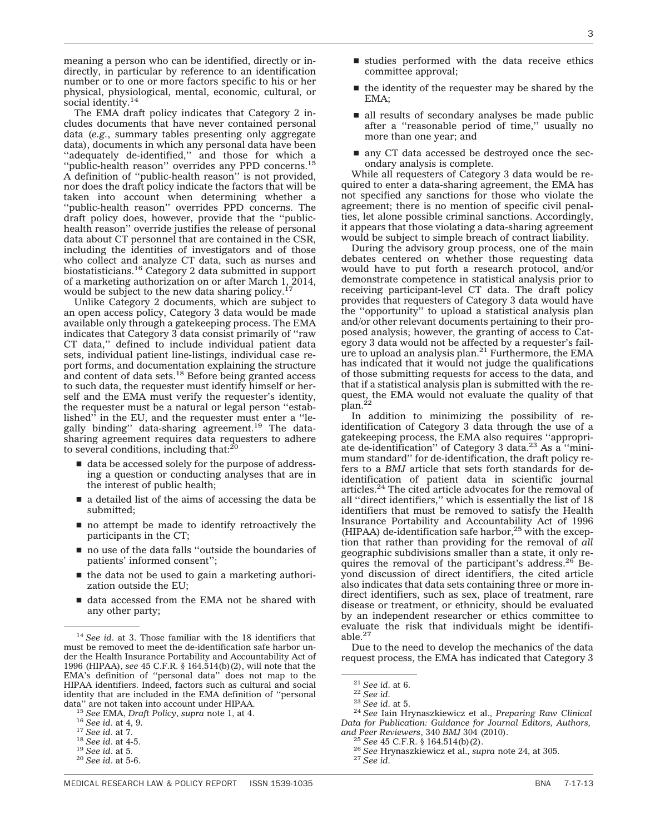3

meaning a person who can be identified, directly or indirectly, in particular by reference to an identification number or to one or more factors specific to his or her physical, physiological, mental, economic, cultural, or social identity.<sup>14</sup>

The EMA draft policy indicates that Category 2 includes documents that have never contained personal data (*e.g.*, summary tables presenting only aggregate data), documents in which any personal data have been ''adequately de-identified,'' and those for which a ''public-health reason'' overrides any PPD concerns.15 A definition of ''public-health reason'' is not provided, nor does the draft policy indicate the factors that will be taken into account when determining whether a ''public-health reason'' overrides PPD concerns. The draft policy does, however, provide that the ''publichealth reason'' override justifies the release of personal data about CT personnel that are contained in the CSR, including the identities of investigators and of those who collect and analyze CT data, such as nurses and biostatisticians.16 Category 2 data submitted in support of a marketing authorization on or after March 1, 2014, would be subject to the new data sharing policy.<sup>17</sup>

Unlike Category 2 documents, which are subject to an open access policy, Category 3 data would be made available only through a gatekeeping process. The EMA indicates that Category 3 data consist primarily of ''raw CT data,'' defined to include individual patient data sets, individual patient line-listings, individual case report forms, and documentation explaining the structure and content of data sets.<sup>18</sup> Before being granted access to such data, the requester must identify himself or herself and the EMA must verify the requester's identity, the requester must be a natural or legal person ''established'' in the EU, and the requester must enter a ''legally binding'' data-sharing agreement.19 The datasharing agreement requires data requesters to adhere<br>to several conditions, including that:<sup>20</sup>

- $\blacksquare$  data be accessed solely for the purpose of addressing a question or conducting analyses that are in the interest of public health;
- $\blacksquare$  a detailed list of the aims of accessing the data be submitted;
- $\blacksquare$  no attempt be made to identify retroactively the participants in the CT;
- $\blacksquare$  no use of the data falls "outside the boundaries of patients' informed consent'';
- $\blacksquare$  the data not be used to gain a marketing authorization outside the EU;
- $\blacksquare$  data accessed from the EMA not be shared with any other party;
- $\blacksquare$  studies performed with the data receive ethics committee approval;
- $\blacksquare$  the identity of the requester may be shared by the EMA;
- $\blacksquare$  all results of secondary analyses be made public after a ''reasonable period of time,'' usually no more than one year; and
- $\blacksquare$  any CT data accessed be destroyed once the secondary analysis is complete.

While all requesters of Category 3 data would be required to enter a data-sharing agreement, the EMA has not specified any sanctions for those who violate the agreement; there is no mention of specific civil penalties, let alone possible criminal sanctions. Accordingly, it appears that those violating a data-sharing agreement would be subject to simple breach of contract liability.

During the advisory group process, one of the main debates centered on whether those requesting data would have to put forth a research protocol, and/or demonstrate competence in statistical analysis prior to receiving participant-level CT data. The draft policy provides that requesters of Category 3 data would have the ''opportunity'' to upload a statistical analysis plan and/or other relevant documents pertaining to their proposed analysis; however, the granting of access to Category 3 data would not be affected by a requester's failure to upload an analysis plan.<sup>21</sup> Furthermore, the EMA has indicated that it would not judge the qualifications of those submitting requests for access to the data, and that if a statistical analysis plan is submitted with the request, the EMA would not evaluate the quality of that<br>plan.<sup>22</sup>

In addition to minimizing the possibility of reidentification of Category 3 data through the use of a gatekeeping process, the EMA also requires ''appropriate de-identification'' of Category 3 data.23 As a ''minimum standard'' for de-identification, the draft policy refers to a *BMJ* article that sets forth standards for deidentification of patient data in scientific journal articles.<sup>24</sup> The cited article advocates for the removal of all ''direct identifiers,'' which is essentially the list of 18 identifiers that must be removed to satisfy the Health Insurance Portability and Accountability Act of 1996 (HIPAA) de-identification safe harbor, $25$  with the exception that rather than providing for the removal of *all* geographic subdivisions smaller than a state, it only requires the removal of the participant's address.<sup>26</sup> Beyond discussion of direct identifiers, the cited article also indicates that data sets containing three or more indirect identifiers, such as sex, place of treatment, rare disease or treatment, or ethnicity, should be evaluated by an independent researcher or ethics committee to evaluate the risk that individuals might be identifiable.<sup>27</sup>

Due to the need to develop the mechanics of the data request process, the EMA has indicated that Category 3

<sup>14</sup> *See id*. at 3. Those familiar with the 18 identifiers that must be removed to meet the de-identification safe harbor under the Health Insurance Portability and Accountability Act of 1996 (HIPAA), *see* 45 C.F.R. § 164.514(b)(2), will note that the EMA's definition of ''personal data'' does not map to the HIPAA identifiers. Indeed, factors such as cultural and social identity that are included in the EMA definition of ''personal

<sup>&</sup>lt;sup>15</sup> See EMA, Draft Policy, supra note 1, at 4.<br>
<sup>16</sup> See id. at 4, 9.<br>
<sup>17</sup> See id. at 7.<br>
<sup>18</sup> See id. at 4-5.<br>
<sup>19</sup> See id. at 5.<br>
<sup>20</sup> See id. at 5-6.

<sup>21</sup> *See id*. at 6. <sup>22</sup> *See id*. <sup>23</sup> *See id*. at 5. <sup>24</sup> *See* Iain Hrynaszkiewicz et al., *Preparing Raw Clinical Data for Publication: Guidance for Journal Editors, Authors, and Peer Reviewers*, 340 *BMJ* 304 (2010). <sup>25</sup> *See* 45 C.F.R. § 164.514(b)(2). <sup>26</sup> *See* Hrynaszkiewicz et al., *supra* note 24, at 305. <sup>27</sup> *See id*.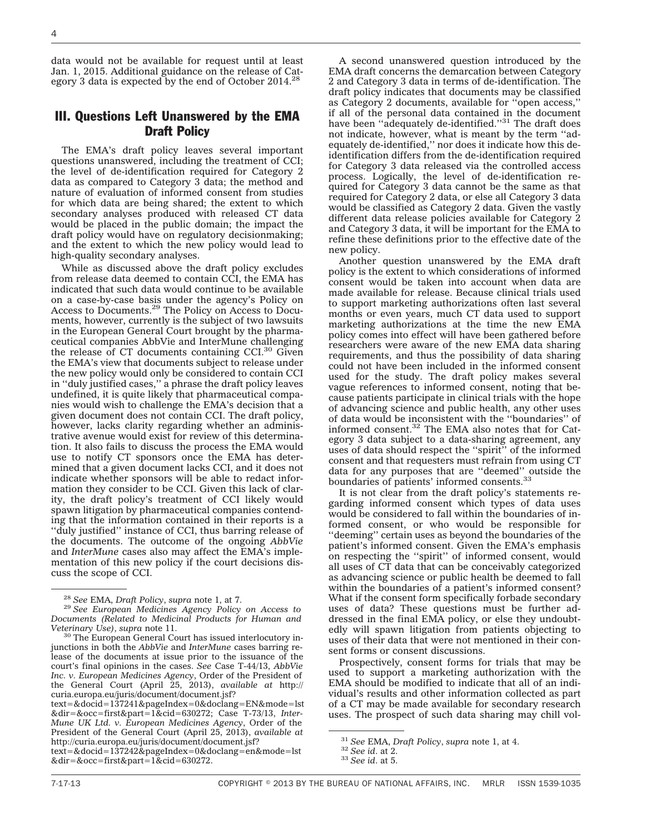4

data would not be available for request until at least Jan. 1, 2015. Additional guidance on the release of Category 3 data is expected by the end of October 2014.<sup>28</sup>

### III. Questions Left Unanswered by the EMA Draft Policy

The EMA's draft policy leaves several important questions unanswered, including the treatment of CCI; the level of de-identification required for Category 2 data as compared to Category 3 data; the method and nature of evaluation of informed consent from studies for which data are being shared; the extent to which secondary analyses produced with released CT data would be placed in the public domain; the impact the draft policy would have on regulatory decisionmaking; and the extent to which the new policy would lead to high-quality secondary analyses.

While as discussed above the draft policy excludes from release data deemed to contain CCI, the EMA has indicated that such data would continue to be available on a case-by-case basis under the agency's Policy on Access to Documents.29 The Policy on Access to Documents, however, currently is the subject of two lawsuits in the European General Court brought by the pharmaceutical companies AbbVie and InterMune challenging the release of CT documents containing CCI.<sup>30</sup> Given the EMA's view that documents subject to release under the new policy would only be considered to contain CCI in ''duly justified cases,'' a phrase the draft policy leaves undefined, it is quite likely that pharmaceutical companies would wish to challenge the EMA's decision that a given document does not contain CCI. The draft policy, however, lacks clarity regarding whether an administrative avenue would exist for review of this determination. It also fails to discuss the process the EMA would use to notify CT sponsors once the EMA has determined that a given document lacks CCI, and it does not indicate whether sponsors will be able to redact information they consider to be CCI. Given this lack of clarity, the draft policy's treatment of CCI likely would spawn litigation by pharmaceutical companies contending that the information contained in their reports is a ''duly justified'' instance of CCI, thus barring release of the documents. The outcome of the ongoing *AbbVie* and *InterMune* cases also may affect the EMA's implementation of this new policy if the court decisions discuss the scope of CCI.

[text=&docid=137241&pageIndex=0&doclang=EN&mode=lst](http://curia.europa.eu/juris/document/document.jsf?text=&docid=137241&pageIndex=0&doclang=EN&mode=lst&dir=&occ=first&part=1&cid=630272) [&dir=&occ=first&part=1&cid=630272;](http://curia.europa.eu/juris/document/document.jsf?text=&docid=137241&pageIndex=0&doclang=EN&mode=lst&dir=&occ=first&part=1&cid=630272) Case T-73/13, *Inter-Mune UK Ltd. v. European Medicines Agency*, Order of the President of the General Court (April 25, 2013), *available at* [http://curia.europa.eu/juris/document/document.jsf?](http://curia.europa.eu/juris/document/document.jsf?text=&docid=137242&pageIndex=0&doclang=en&mode=lst&dir=&occ=first&part=1&cid=630272)

[text=&docid=137242&pageIndex=0&doclang=en&mode=lst](http://curia.europa.eu/juris/document/document.jsf?text=&docid=137242&pageIndex=0&doclang=en&mode=lst&dir=&occ=first&part=1&cid=630272) [&dir=&occ=first&part=1&cid=630272.](http://curia.europa.eu/juris/document/document.jsf?text=&docid=137242&pageIndex=0&doclang=en&mode=lst&dir=&occ=first&part=1&cid=630272)

A second unanswered question introduced by the EMA draft concerns the demarcation between Category 2 and Category 3 data in terms of de-identification. The draft policy indicates that documents may be classified as Category 2 documents, available for ''open access,'' if all of the personal data contained in the document have been "adequately de-identified."<sup>31</sup> The draft does not indicate, however, what is meant by the term ''adequately de-identified,'' nor does it indicate how this deidentification differs from the de-identification required for Category 3 data released via the controlled access process. Logically, the level of de-identification required for Category 3 data cannot be the same as that required for Category 2 data, or else all Category 3 data would be classified as Category 2 data. Given the vastly different data release policies available for Category 2 and Category 3 data, it will be important for the EMA to refine these definitions prior to the effective date of the new policy.

Another question unanswered by the EMA draft policy is the extent to which considerations of informed consent would be taken into account when data are made available for release. Because clinical trials used to support marketing authorizations often last several months or even years, much CT data used to support marketing authorizations at the time the new EMA policy comes into effect will have been gathered before researchers were aware of the new EMA data sharing requirements, and thus the possibility of data sharing could not have been included in the informed consent used for the study. The draft policy makes several vague references to informed consent, noting that because patients participate in clinical trials with the hope of advancing science and public health, any other uses of data would be inconsistent with the ''boundaries'' of informed consent.32 The EMA also notes that for Category 3 data subject to a data-sharing agreement, any uses of data should respect the ''spirit'' of the informed consent and that requesters must refrain from using CT data for any purposes that are ''deemed'' outside the boundaries of patients' informed consents.33

It is not clear from the draft policy's statements regarding informed consent which types of data uses would be considered to fall within the boundaries of informed consent, or who would be responsible for ''deeming'' certain uses as beyond the boundaries of the patient's informed consent. Given the EMA's emphasis on respecting the ''spirit'' of informed consent, would all uses of CT data that can be conceivably categorized as advancing science or public health be deemed to fall within the boundaries of a patient's informed consent? What if the consent form specifically forbade secondary uses of data? These questions must be further addressed in the final EMA policy, or else they undoubtedly will spawn litigation from patients objecting to uses of their data that were not mentioned in their consent forms or consent discussions.

Prospectively, consent forms for trials that may be used to support a marketing authorization with the EMA should be modified to indicate that all of an individual's results and other information collected as part of a CT may be made available for secondary research uses. The prospect of such data sharing may chill vol-

<sup>28</sup> *See* EMA, *Draft Policy*, *supra* note 1, at 7. <sup>29</sup> *See European Medicines Agency Policy on Access to Documents (Related to Medicinal Products for Human and*

<sup>&</sup>lt;sup>30</sup> The European General Court has issued interlocutory injunctions in both the *AbbVie* and *InterMune* cases barring release of the documents at issue prior to the issuance of the court's final opinions in the cases. *See* Case T-44/13, *AbbVie Inc. v. European Medicines Agency*, Order of the President of the General Court (April 25, 2013), *available at* [http://](http://curia.europa.eu/juris/document/document.jsf?text=&docid=137241&pageIndex=0&doclang=EN&mode=lst&dir=&occ=first&part=1&cid=630272) [curia.europa.eu/juris/document/document.jsf?](http://curia.europa.eu/juris/document/document.jsf?text=&docid=137241&pageIndex=0&doclang=EN&mode=lst&dir=&occ=first&part=1&cid=630272)

<sup>31</sup> *See* EMA, *Draft Policy*, *supra* note 1, at 4. <sup>32</sup> *See id*. at 2. <sup>33</sup> *See id*. at 5.